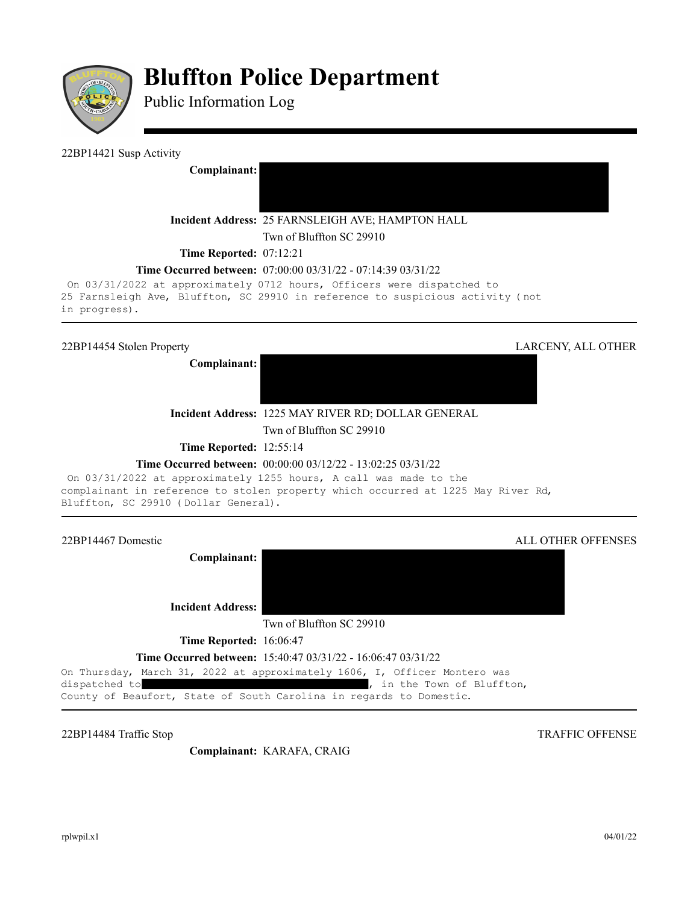

# **Bluffton Police Department**

Public Information Log

# 22BP14421 Susp Activity

**Complainant:** 

# **Incident Address:** 25 FARNSLEIGH AVE; HAMPTON HALL

Twn of Bluffton SC 29910

**Time Reported: 07:12:21** 

# **Time Occurred between:** 07:00:00 03/31/22 - 07:14:39 03/31/22

On 03/31/2022 at approximately 0712 hours, Officers were dispatched to 25 Farnsleigh Ave, Bluffton, SC 29910 in reference to suspicious activity (not in progress).

**Complainant:** 



**Incident Address:** 1225 MAY RIVER RD; DOLLAR GENERAL

Twn of Bluffton SC 29910

**Time Reported:** 12:55:14

# **Time Occurred between:** 00:00:00 03/12/22 - 13:02:25 03/31/22

On 03/31/2022 at approximately 1255 hours, A call was made to the complainant in reference to stolen property which occurred at 1225 May River Rd, Bluffton, SC 29910 (Dollar General).

22BP14467 Domestic ALL OTHER OFFENSES

**Complainant:** 

**Incident Address:** 

Twn of Bluffton SC 29910

**Time Reported:** 16:06:47

**Time Occurred between:** 15:40:47 03/31/22 - 16:06:47 03/31/22

On Thursday, March 31, 2022 at approximately 1606, I, Officer Montero was

dispatched to  $\qquad \qquad$  , in the Town of Bluffton,

County of Beaufort, State of South Carolina in regards to Domestic.

22BP14484 Traffic Stop TRAFFIC OFFENSE

**Complainant:** KARAFA, CRAIG

rplwpil.x1 04/01/22